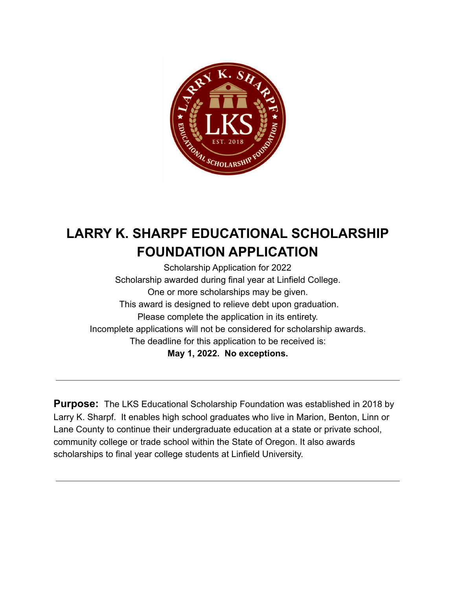

# **LARRY K. SHARPF EDUCATIONAL SCHOLARSHIP FOUNDATION APPLICATION**

Scholarship Application for 2022 Scholarship awarded during final year at Linfield College. One or more scholarships may be given. This award is designed to relieve debt upon graduation. Please complete the application in its entirety. Incomplete applications will not be considered for scholarship awards. The deadline for this application to be received is: **May 1, 2022. No exceptions.**

**Purpose:** The LKS Educational Scholarship Foundation was established in 2018 by Larry K. Sharpf. It enables high school graduates who live in Marion, Benton, Linn or Lane County to continue their undergraduate education at a state or private school, community college or trade school within the State of Oregon. It also awards scholarships to final year college students at Linfield University.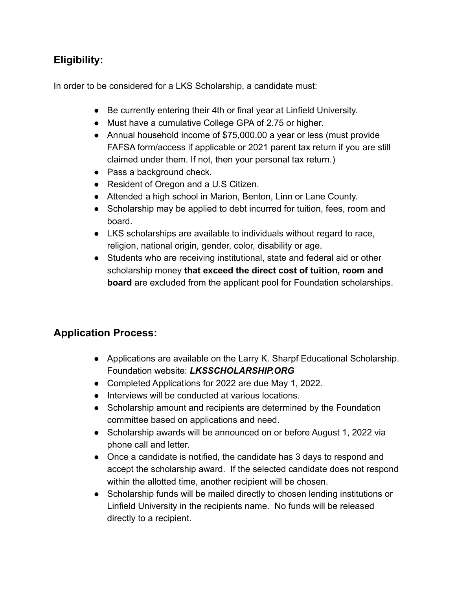#### **Eligibility:**

In order to be considered for a LKS Scholarship, a candidate must:

- Be currently entering their 4th or final year at Linfield University.
- Must have a cumulative College GPA of 2.75 or higher.
- Annual household income of \$75,000.00 a year or less (must provide FAFSA form/access if applicable or 2021 parent tax return if you are still claimed under them. If not, then your personal tax return.)
- Pass a background check.
- Resident of Oregon and a U.S Citizen.
- Attended a high school in Marion, Benton, Linn or Lane County.
- Scholarship may be applied to debt incurred for tuition, fees, room and board.
- LKS scholarships are available to individuals without regard to race, religion, national origin, gender, color, disability or age.
- Students who are receiving institutional, state and federal aid or other scholarship money **that exceed the direct cost of tuition, room and board** are excluded from the applicant pool for Foundation scholarships.

#### **Application Process:**

- Applications are available on the Larry K. Sharpf Educational Scholarship. Foundation website: *LKSSCHOLARSHIP.ORG*
- Completed Applications for 2022 are due May 1, 2022.
- Interviews will be conducted at various locations.
- Scholarship amount and recipients are determined by the Foundation committee based on applications and need.
- Scholarship awards will be announced on or before August 1, 2022 via phone call and letter.
- Once a candidate is notified, the candidate has 3 days to respond and accept the scholarship award. If the selected candidate does not respond within the allotted time, another recipient will be chosen.
- Scholarship funds will be mailed directly to chosen lending institutions or Linfield University in the recipients name. No funds will be released directly to a recipient.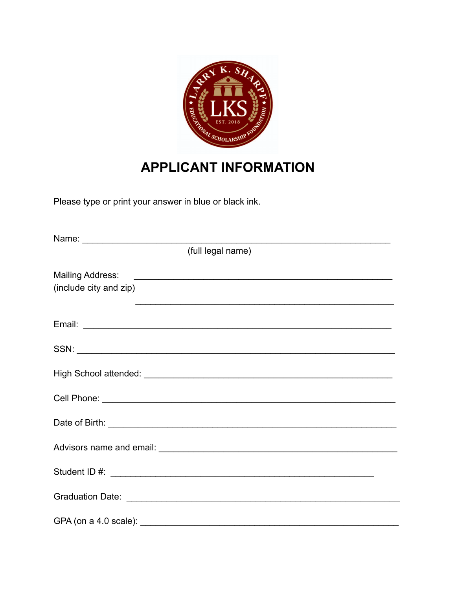

## **APPLICANT INFORMATION**

Please type or print your answer in blue or black ink.

| (full legal name)                                                                                               |
|-----------------------------------------------------------------------------------------------------------------|
| <b>Mailing Address:</b><br>(include city and zip)<br><u> 1989 - Johann Stoff, amerikansk politiker (* 1908)</u> |
|                                                                                                                 |
|                                                                                                                 |
|                                                                                                                 |
|                                                                                                                 |
|                                                                                                                 |
|                                                                                                                 |
|                                                                                                                 |
|                                                                                                                 |
|                                                                                                                 |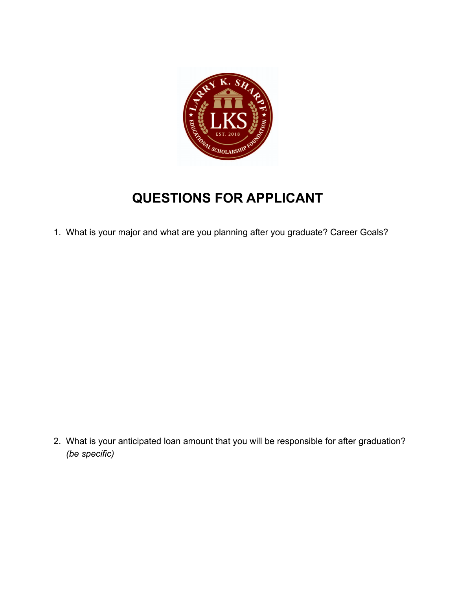

# **QUESTIONS FOR APPLICANT**

1. What is your major and what are you planning after you graduate? Career Goals?

2. What is your anticipated loan amount that you will be responsible for after graduation? *(be specific)*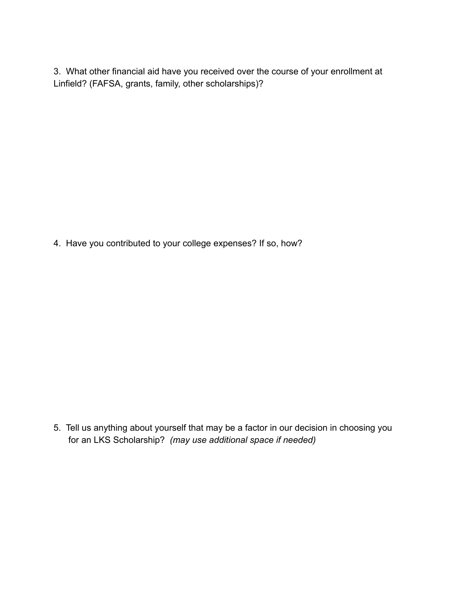3. What other financial aid have you received over the course of your enrollment at Linfield? (FAFSA, grants, family, other scholarships)?

4. Have you contributed to your college expenses? If so, how?

5. Tell us anything about yourself that may be a factor in our decision in choosing you for an LKS Scholarship? *(may use additional space if needed)*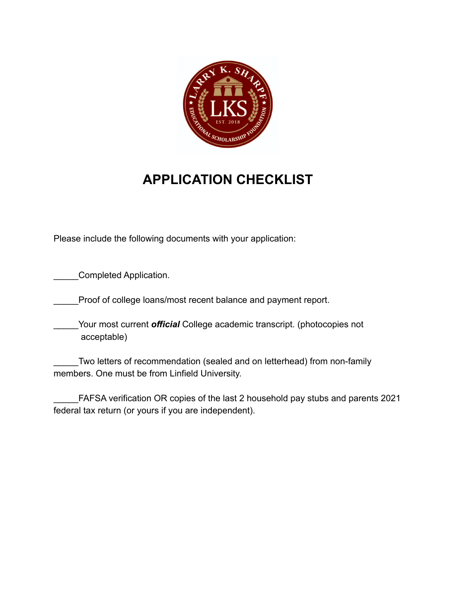

### **APPLICATION CHECKLIST**

Please include the following documents with your application:

Completed Application.

Proof of college loans/most recent balance and payment report.

Your most current *official* College academic transcript. (photocopies not acceptable)

Two letters of recommendation (sealed and on letterhead) from non-family members. One must be from Linfield University.

\_\_\_\_\_FAFSA verification OR copies of the last 2 household pay stubs and parents 2021 federal tax return (or yours if you are independent).